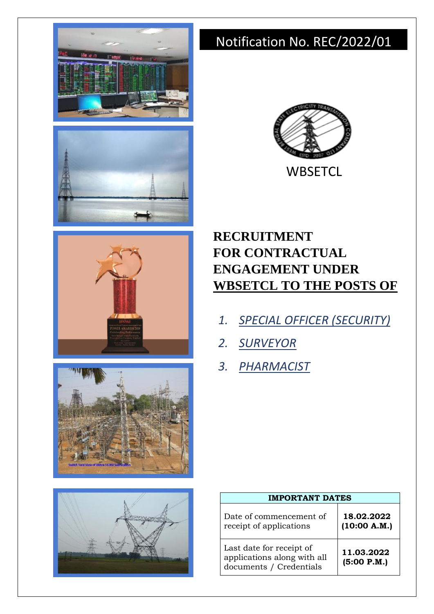









# Notification No. REC/2022/01



**WBSETCL** 

# **RECRUITMENT FOR CONTRACTUAL ENGAGEMENT UNDER WBSETCL TO THE POSTS OF**

- *1. SPECIAL OFFICER (SECURITY)*
- *2. SURVEYOR*
- *3. PHARMACIST*

| <b>IMPORTANT DATES</b>                                                             |                            |  |  |
|------------------------------------------------------------------------------------|----------------------------|--|--|
| Date of commencement of<br>receipt of applications                                 | 18.02.2022<br>(10:00 A.M.) |  |  |
| Last date for receipt of<br>applications along with all<br>documents / Credentials | 11.03.2022<br>(5:00 P.M.)  |  |  |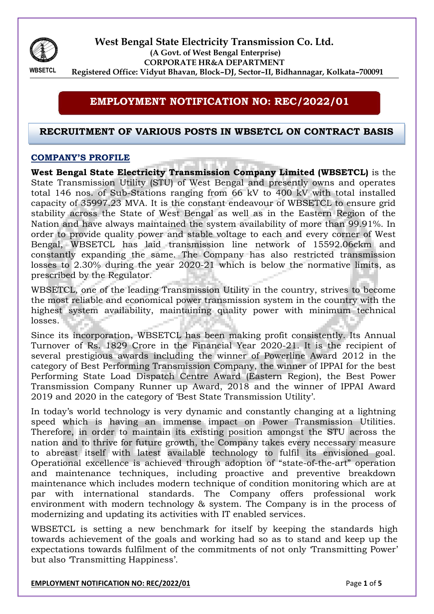

**West Bengal State Electricity Transmission Co. Ltd. (A Govt. of West Bengal Enterprise) CORPORATE HR&A DEPARTMENT Registered Office: Vidyut Bhavan, Block–DJ, Sector–II, Bidhannagar, Kolkata–700091**

**WBSETCL** 

## **EMPLOYMENT NOTIFICATION NO: REC/2022/01**

## **RECRUITMENT OF VARIOUS POSTS IN WBSETCL ON CONTRACT BASIS**

## **COMPANY'S PROFILE**

**West Bengal State Electricity Transmission Company Limited (WBSETCL)** is the State Transmission Utility (STU) of West Bengal and presently owns and operates total 146 nos. of Sub-Stations ranging from 66 kV to 400 kV with total installed capacity of 35997.23 MVA. It is the constant endeavour of WBSETCL to ensure grid stability across the State of West Bengal as well as in the Eastern Region of the Nation and have always maintained the system availability of more than 99.91%. In order to provide quality power and stable voltage to each and every corner of West Bengal, WBSETCL has laid transmission line network of 15592.06ckm and constantly expanding the same. The Company has also restricted transmission losses to 2.30% during the year 2020-21 which is below the normative limits, as prescribed by the Regulator.

WBSETCL, one of the leading Transmission Utility in the country, strives to become the most reliable and economical power transmission system in the country with the highest system availability, maintaining quality power with minimum technical losses.

Since its incorporation, WBSETCL has been making profit consistently. Its Annual Turnover of Rs. 1829 Crore in the Financial Year 2020-21. It is the recipient of several prestigious awards including the winner of Powerline Award 2012 in the category of Best Performing Transmission Company, the winner of IPPAI for the best Performing State Load Dispatch Centre Award (Eastern Region), the Best Power Transmission Company Runner up Award, 2018 and the winner of IPPAI Award 2019 and 2020 in the category of 'Best State Transmission Utility'.

In today's world technology is very dynamic and constantly changing at a lightning speed which is having an immense impact on Power Transmission Utilities. Therefore, in order to maintain its existing position amongst the STU across the nation and to thrive for future growth, the Company takes every necessary measure to abreast itself with latest available technology to fulfil its envisioned goal. Operational excellence is achieved through adoption of "state-of-the-art" operation and maintenance techniques, including proactive and preventive breakdown maintenance which includes modern technique of condition monitoring which are at par with international standards. The Company offers professional work environment with modern technology & system. The Company is in the process of modernizing and updating its activities with IT enabled services.

WBSETCL is setting a new benchmark for itself by keeping the standards high towards achievement of the goals and working had so as to stand and keep up the expectations towards fulfilment of the commitments of not only 'Transmitting Power' but also 'Transmitting Happiness'.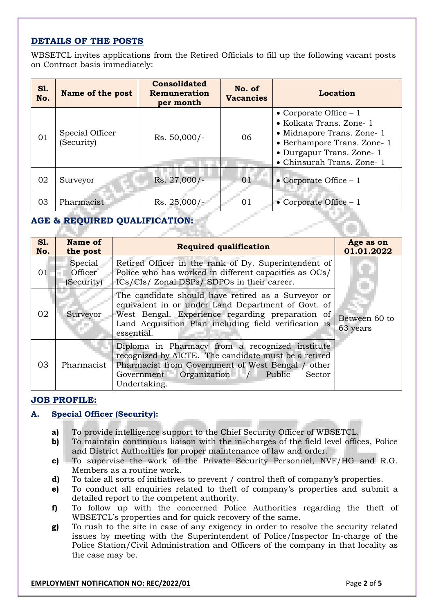## **DETAILS OF THE POSTS**

WBSETCL invites applications from the Retired Officials to fill up the following vacant posts on Contract basis immediately:

| <b>S1.</b><br>No. | Name of the post              | <b>Consolidated</b><br>Remuneration<br>per month | No. of<br><b>Vacancies</b> | Location                                                                                                                                                                    |  |
|-------------------|-------------------------------|--------------------------------------------------|----------------------------|-----------------------------------------------------------------------------------------------------------------------------------------------------------------------------|--|
| 01                | Special Officer<br>(Security) | $Rs. 50,000/-$                                   | 06                         | • Corporate Office $-1$<br>• Kolkata Trans. Zone- 1<br>• Midnapore Trans. Zone- 1<br>• Berhampore Trans. Zone- 1<br>• Durgapur Trans. Zone- 1<br>• Chinsurah Trans. Zone- 1 |  |
| 02                | Surveyor                      | Rs. 27,000/-                                     | 0 <sub>1</sub>             | • Corporate Office $-1$                                                                                                                                                     |  |
| 03                | Pharmacist                    | $Rs. 25,000/-$                                   | 01                         | • Corporate Office $-1$                                                                                                                                                     |  |

## **AGE & REQUIRED QUALIFICATION:**

| <b>S1.</b><br>No. | Name of<br>the post              | <b>Required qualification</b>                                                                                                                                                                                                       | Age as on<br>01.01.2022   |
|-------------------|----------------------------------|-------------------------------------------------------------------------------------------------------------------------------------------------------------------------------------------------------------------------------------|---------------------------|
| 01                | Special<br>Officer<br>(Security) | Retired Officer in the rank of Dy. Superintendent of<br>Police who has worked in different capacities as OCs/<br>ICs/CIs/ Zonal DSPs/ SDPOs in their career.                                                                        |                           |
| 02                | Surveyor                         | The candidate should have retired as a Surveyor or<br>equivalent in or under Land Department of Govt. of<br>West Bengal. Experience regarding preparation of<br>Land Acquisition Plan including field verification is<br>essential. | Between 60 to<br>63 years |
| 03                | Pharmacist                       | Diploma in Pharmacy from a recognized institute<br>recognized by AICTE. The candidate must be a retired<br>Pharmacist from Government of West Bengal / other<br>$Government$ Organization /<br>Public<br>Sector<br>Undertaking.     |                           |

#### **JOB PROFILE:**

#### **A. Special Officer (Security):**

- **a)** To provide intelligence support to the Chief Security Officer of WBSETCL.
- **b)** To maintain continuous liaison with the in-charges of the field level offices, Police and District Authorities for proper maintenance of law and order.
- **c)** To supervise the work of the Private Security Personnel, NVF/HG and R.G. Members as a routine work.
- **d)** To take all sorts of initiatives to prevent / control theft of company's properties.
- **e)** To conduct all enquiries related to theft of company's properties and submit a detailed report to the competent authority.
- **f)** To follow up with the concerned Police Authorities regarding the theft of WBSETCL's properties and for quick recovery of the same.
- **g)** To rush to the site in case of any exigency in order to resolve the security related issues by meeting with the Superintendent of Police/Inspector In-charge of the Police Station/Civil Administration and Officers of the company in that locality as the case may be.

#### **EMPLOYMENT NOTIFICATION NO: REC/2022/01** Page **2** of **5**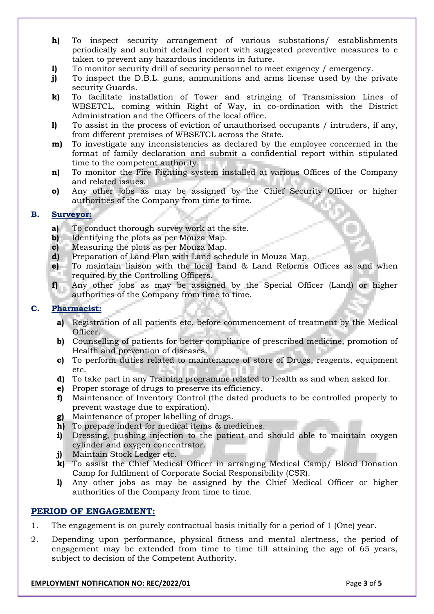- **h)** To inspect security arrangement of various substations/ establishments periodically and submit detailed report with suggested preventive measures to e taken to prevent any hazardous incidents in future.
- **i)** To monitor security drill of security personnel to meet exigency / emergency.
- **j)** To inspect the D.B.L. guns, ammunitions and arms license used by the private security Guards.
- **k)** To facilitate installation of Tower and stringing of Transmission Lines of WBSETCL, coming within Right of Way, in co-ordination with the District Administration and the Officers of the local office.
- **l)** To assist in the process of eviction of unauthorised occupants / intruders, if any, from different premises of WBSETCL across the State.
- **m**) To investigate any inconsistencies as declared by the employee concerned in the format of family declaration and submit a confidential report within stipulated time to the competent authority.
- **n)** To monitor the Fire Fighting system installed at various Offices of the Company and related issues.
- **o)** Any other jobs as may be assigned by the Chief Security Officer or higher authorities of the Company from time to time.

#### **B. Surveyor:**

- **a)** To conduct thorough survey work at the site.
- **b)** Identifying the plots as per Mouza Map.
- **c)** Measuring the plots as per Mouza Map.
- **d)** Preparation of Land Plan with Land schedule in Mouza Map.
- **e)** To maintain liaison with the local Land & Land Reforms Offices as and when required by the Controlling Officers.
- **f)** Any other jobs as may be assigned by the Special Officer (Land) or higher authorities of the Company from time to time.

## **C. Pharmacist:**

- **a)** Registration of all patients etc. before commencement of treatment by the Medical Officer.
- **b)** Counselling of patients for better compliance of prescribed medicine, promotion of Health and prevention of diseases.
- **c)** To perform duties related to maintenance of store of Drugs, reagents, equipment etc.
- **d)** To take part in any Training programme related to health as and when asked for.
- **e)** Proper storage of drugs to preserve its efficiency.
- **f)** Maintenance of Inventory Control (the dated products to be controlled properly to prevent wastage due to expiration).
- **g)** Maintenance of proper labelling of drugs.
- **h)** To prepare indent for medical items & medicines.
- **i)** Dressing, pushing injection to the patient and should able to maintain oxygen cylinder and oxygen concentrator.
- **j)** Maintain Stock Ledger etc.
- **k)** To assist the Chief Medical Officer in arranging Medical Camp/ Blood Donation Camp for fulfilment of Corporate Social Responsibility (CSR).
- **l)** Any other jobs as may be assigned by the Chief Medical Officer or higher authorities of the Company from time to time.

#### **PERIOD OF ENGAGEMENT:**

- 1. The engagement is on purely contractual basis initially for a period of 1 (One) year.
- 2. Depending upon performance, physical fitness and mental alertness, the period of engagement may be extended from time to time till attaining the age of 65 years, subject to decision of the Competent Authority.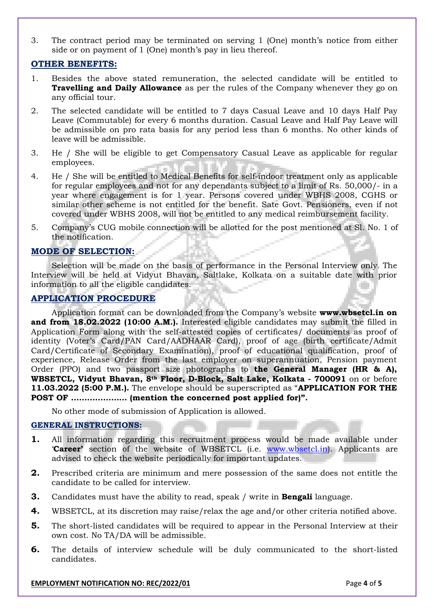3. The contract period may be terminated on serving 1 (One) month's notice from either side or on payment of 1 (One) month's pay in lieu thereof.

#### **OTHER BENEFITS:**

- 1. Besides the above stated remuneration, the selected candidate will be entitled to **Travelling and Daily Allowance** as per the rules of the Company whenever they go on any official tour.
- 2. The selected candidate will be entitled to 7 days Casual Leave and 10 days Half Pay Leave (Commutable) for every 6 months duration. Casual Leave and Half Pay Leave will be admissible on pro rata basis for any period less than 6 months. No other kinds of leave will be admissible.
- 3. He / She will be eligible to get Compensatory Casual Leave as applicable for regular employees.
- 4. He / She will be entitled to Medical Benefits for self-indoor treatment only as applicable for regular employees and not for any dependants subject to a limit of Rs. 50,000/- in a year where engagement is for 1 year. Persons covered under WBHS 2008, CGHS or similar other scheme is not entitled for the benefit. Sate Govt. Pensioners, even if not covered under WBHS 2008, will not be entitled to any medical reimbursement facility.
- 5. Company's CUG mobile connection will be allotted for the post mentioned at Sl. No. 1 of the notification.

### **MODE OF SELECTION:**

Selection will be made on the basis of performance in the Personal Interview only*.* The Interview will be held at Vidyut Bhavan, Saltlake, Kolkata on a suitable date with prior information to all the eligible candidates.

### **APPLICATION PROCEDURE**

Application format can be downloaded from the Company's website **www.wbsetcl.in on and from 18.02.2022 (10:00 A.M.).** Interested eligible candidates may submit the filled in Application Form along with the self-attested copies of certificates/ documents as proof of identity (Voter's Card/PAN Card/AADHAAR Card), proof of age (birth certificate/Admit Card/Certificate of Secondary Examination), proof of educational qualification, proof of experience, Release Order from the last employer on superannuation, Pension payment Order (PPO) and two passport size photographs to **the General Manager (HR & A), WBSETCL, Vidyut Bhavan, 8th Floor, D-Block, Salt Lake, Kolkata - 700091** on or before **11.03.2022 (5:00 P.M.).** The envelope should be superscripted as "**APPLICATION FOR THE POST OF ………………… (mention the concerned post applied for)".**

No other mode of submission of Application is allowed.

#### **GENERAL INSTRUCTIONS:**

- **1.** All information regarding this recruitment process would be made available under '**Career'** section of the website of WBSETCL (i.e. [www.wbsetcl.in\)](http://www.wbsetcl.in/). Applicants are advised to check the website periodically for important updates.
- **2.** Prescribed criteria are minimum and mere possession of the same does not entitle the candidate to be called for interview.
- **3.** Candidates must have the ability to read, speak / write in **Bengali** language.
- **4.** WBSETCL, at its discretion may raise/relax the age and/or other criteria notified above.
- **5.** The short-listed candidates will be required to appear in the Personal Interview at their own cost. No TA/DA will be admissible.
- **6.** The details of interview schedule will be duly communicated to the short-listed candidates.

#### **EMPLOYMENT NOTIFICATION NO: REC/2022/01 Page 4** of **5**